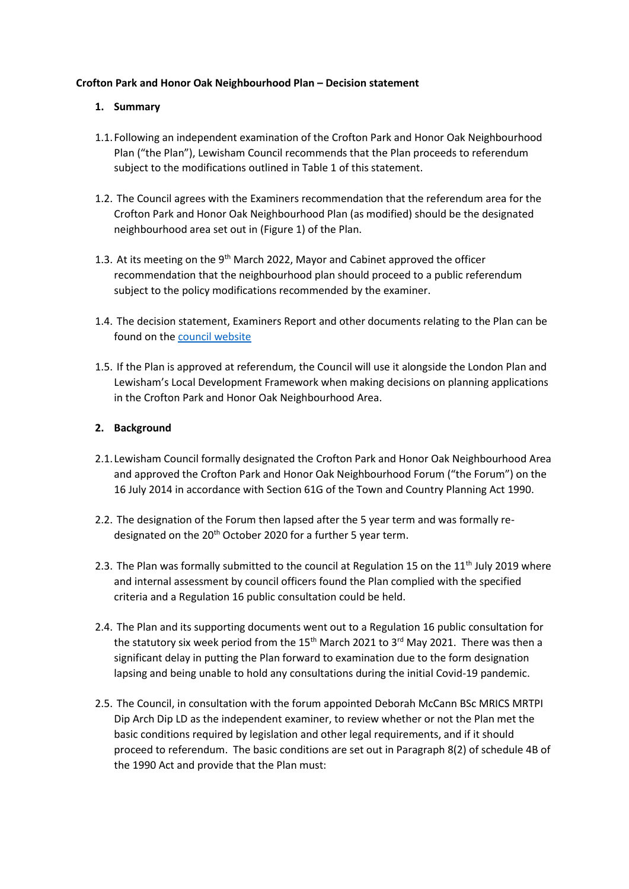#### **Crofton Park and Honor Oak Neighbourhood Plan – Decision statement**

### **1. Summary**

- 1.1.Following an independent examination of the Crofton Park and Honor Oak Neighbourhood Plan ("the Plan"), Lewisham Council recommends that the Plan proceeds to referendum subject to the modifications outlined in Table 1 of this statement.
- 1.2. The Council agrees with the Examiners recommendation that the referendum area for the Crofton Park and Honor Oak Neighbourhood Plan (as modified) should be the designated neighbourhood area set out in (Figure 1) of the Plan.
- 1.3. At its meeting on the 9<sup>th</sup> March 2022, Mayor and Cabinet approved the officer recommendation that the neighbourhood plan should proceed to a public referendum subject to the policy modifications recommended by the examiner.
- 1.4. The decision statement, Examiners Report and other documents relating to the Plan can be found on th[e council website](https://lewisham.gov.uk/myservices/planning/policy/neighbourhood-plans/crofton-park-and-honor-oak-park-neighbourhood-forum-and-area)
- 1.5. If the Plan is approved at referendum, the Council will use it alongside the London Plan and Lewisham's Local Development Framework when making decisions on planning applications in the Crofton Park and Honor Oak Neighbourhood Area.

#### **2. Background**

- 2.1. Lewisham Council formally designated the Crofton Park and Honor Oak Neighbourhood Area and approved the Crofton Park and Honor Oak Neighbourhood Forum ("the Forum") on the 16 July 2014 in accordance with Section 61G of the Town and Country Planning Act 1990.
- 2.2. The designation of the Forum then lapsed after the 5 year term and was formally redesignated on the 20<sup>th</sup> October 2020 for a further 5 year term.
- 2.3. The Plan was formally submitted to the council at Regulation 15 on the 11<sup>th</sup> July 2019 where and internal assessment by council officers found the Plan complied with the specified criteria and a Regulation 16 public consultation could be held.
- 2.4. The Plan and its supporting documents went out to a Regulation 16 public consultation for the statutory six week period from the 15<sup>th</sup> March 2021 to 3<sup>rd</sup> May 2021. There was then a significant delay in putting the Plan forward to examination due to the form designation lapsing and being unable to hold any consultations during the initial Covid-19 pandemic.
- 2.5. The Council, in consultation with the forum appointed Deborah McCann BSc MRICS MRTPI Dip Arch Dip LD as the independent examiner, to review whether or not the Plan met the basic conditions required by legislation and other legal requirements, and if it should proceed to referendum. The basic conditions are set out in Paragraph 8(2) of schedule 4B of the 1990 Act and provide that the Plan must: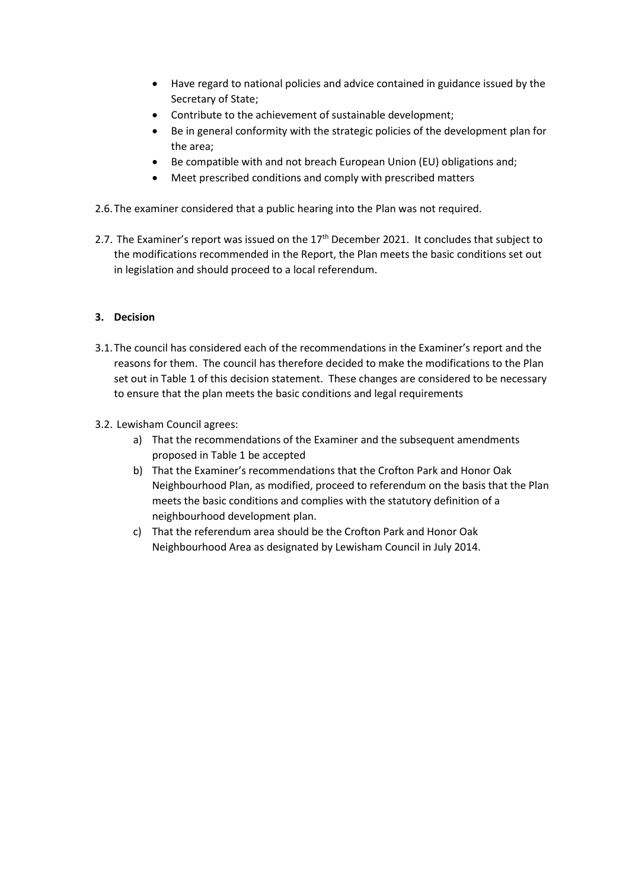- Have regard to national policies and advice contained in guidance issued by the Secretary of State;
- Contribute to the achievement of sustainable development;
- Be in general conformity with the strategic policies of the development plan for the area;
- Be compatible with and not breach European Union (EU) obligations and;
- Meet prescribed conditions and comply with prescribed matters
- 2.6.The examiner considered that a public hearing into the Plan was not required.
- 2.7. The Examiner's report was issued on the  $17<sup>th</sup>$  December 2021. It concludes that subject to the modifications recommended in the Report, the Plan meets the basic conditions set out in legislation and should proceed to a local referendum.

## **3. Decision**

- 3.1.The council has considered each of the recommendations in the Examiner's report and the reasons for them. The council has therefore decided to make the modifications to the Plan set out in Table 1 of this decision statement. These changes are considered to be necessary to ensure that the plan meets the basic conditions and legal requirements
- 3.2. Lewisham Council agrees:
	- a) That the recommendations of the Examiner and the subsequent amendments proposed in Table 1 be accepted
	- b) That the Examiner's recommendations that the Crofton Park and Honor Oak Neighbourhood Plan, as modified, proceed to referendum on the basis that the Plan meets the basic conditions and complies with the statutory definition of a neighbourhood development plan.
	- c) That the referendum area should be the Crofton Park and Honor Oak Neighbourhood Area as designated by Lewisham Council in July 2014.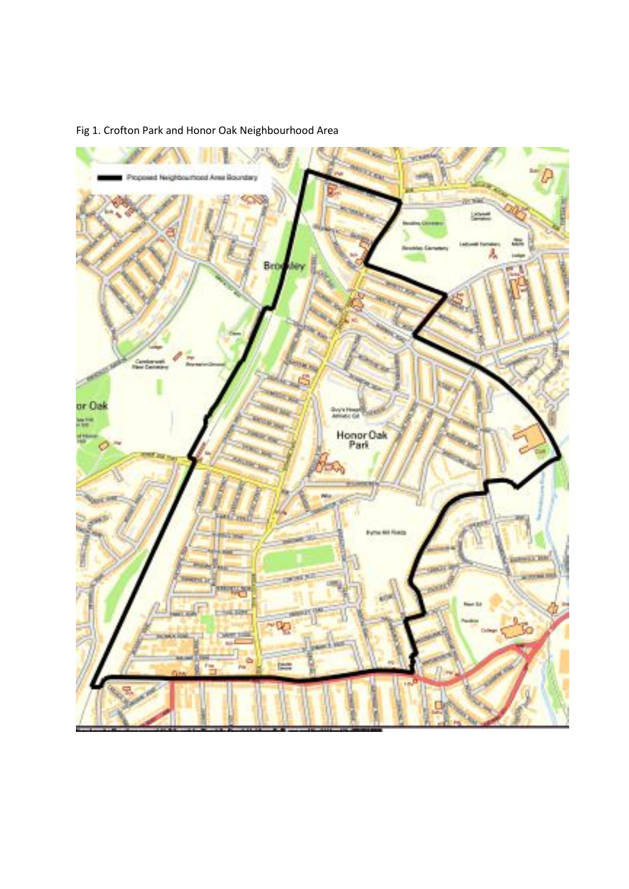

# Fig 1. Crofton Park and Honor Oak Neighbourhood Area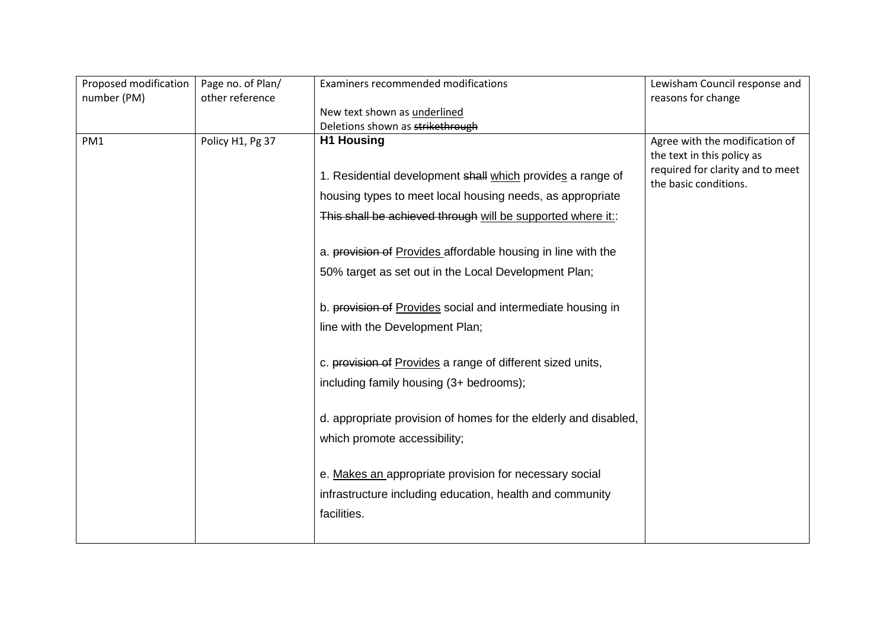| Lewisham Council response and                             |
|-----------------------------------------------------------|
|                                                           |
|                                                           |
|                                                           |
| Agree with the modification of                            |
| the text in this policy as                                |
| required for clarity and to meet<br>the basic conditions. |
|                                                           |
|                                                           |
|                                                           |
|                                                           |
|                                                           |
|                                                           |
|                                                           |
|                                                           |
|                                                           |
|                                                           |
|                                                           |
|                                                           |
|                                                           |
|                                                           |
|                                                           |
|                                                           |
|                                                           |
|                                                           |
|                                                           |
| reasons for change                                        |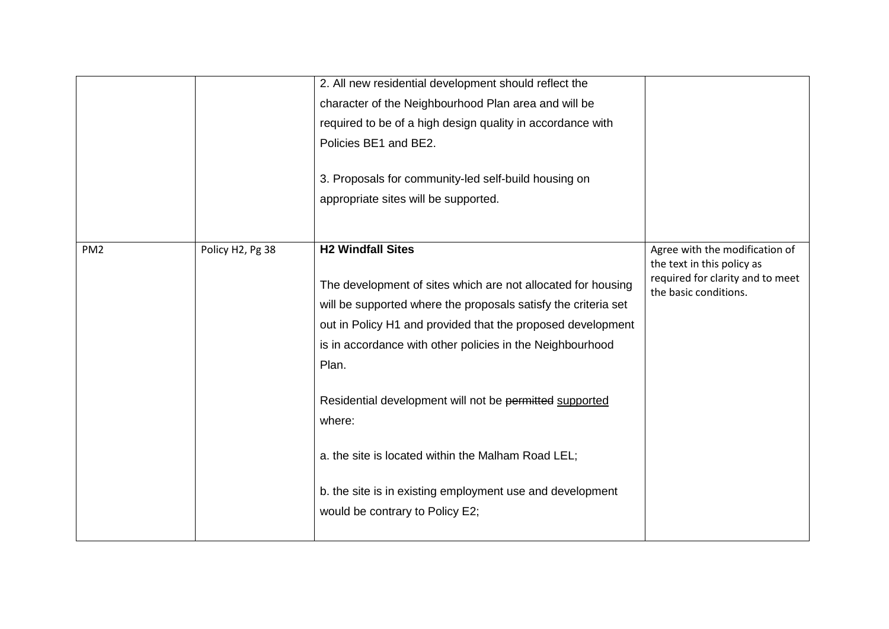|                 |                  | 2. All new residential development should reflect the<br>character of the Neighbourhood Plan area and will be<br>required to be of a high design quality in accordance with<br>Policies BE1 and BE2.<br>3. Proposals for community-led self-build housing on<br>appropriate sites will be supported.                                                                                                                                                                                                                       |                                                                                                                           |
|-----------------|------------------|----------------------------------------------------------------------------------------------------------------------------------------------------------------------------------------------------------------------------------------------------------------------------------------------------------------------------------------------------------------------------------------------------------------------------------------------------------------------------------------------------------------------------|---------------------------------------------------------------------------------------------------------------------------|
| PM <sub>2</sub> | Policy H2, Pg 38 | <b>H2 Windfall Sites</b><br>The development of sites which are not allocated for housing<br>will be supported where the proposals satisfy the criteria set<br>out in Policy H1 and provided that the proposed development<br>is in accordance with other policies in the Neighbourhood<br>Plan.<br>Residential development will not be permitted supported<br>where:<br>a. the site is located within the Malham Road LEL;<br>b. the site is in existing employment use and development<br>would be contrary to Policy E2; | Agree with the modification of<br>the text in this policy as<br>required for clarity and to meet<br>the basic conditions. |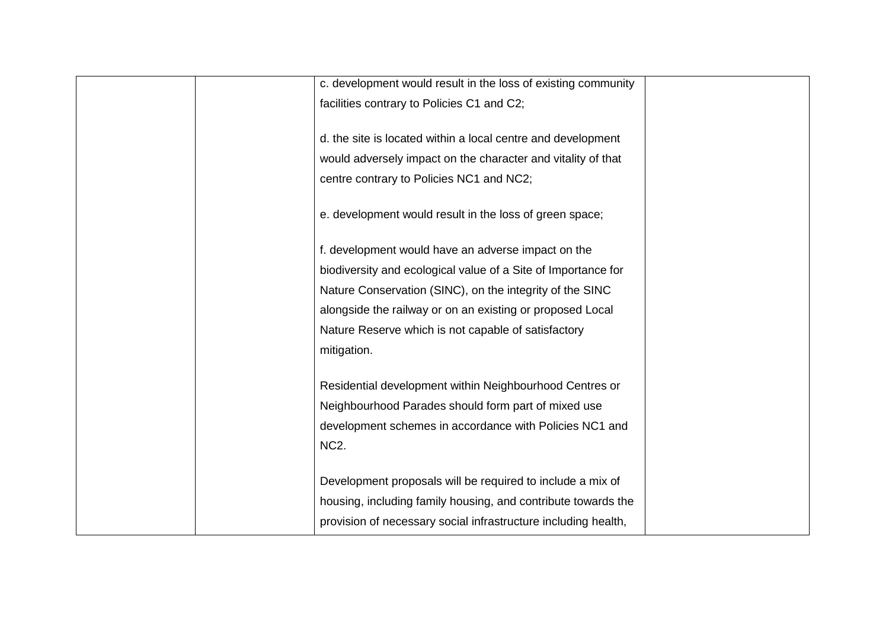|                   | c. development would result in the loss of existing community  |  |
|-------------------|----------------------------------------------------------------|--|
|                   | facilities contrary to Policies C1 and C2;                     |  |
|                   |                                                                |  |
|                   | d. the site is located within a local centre and development   |  |
|                   | would adversely impact on the character and vitality of that   |  |
|                   | centre contrary to Policies NC1 and NC2;                       |  |
|                   |                                                                |  |
|                   | e. development would result in the loss of green space;        |  |
|                   |                                                                |  |
|                   | f. development would have an adverse impact on the             |  |
|                   | biodiversity and ecological value of a Site of Importance for  |  |
|                   | Nature Conservation (SINC), on the integrity of the SINC       |  |
|                   | alongside the railway or on an existing or proposed Local      |  |
|                   | Nature Reserve which is not capable of satisfactory            |  |
| mitigation.       |                                                                |  |
|                   |                                                                |  |
|                   | Residential development within Neighbourhood Centres or        |  |
|                   | Neighbourhood Parades should form part of mixed use            |  |
|                   | development schemes in accordance with Policies NC1 and        |  |
| NC <sub>2</sub> . |                                                                |  |
|                   |                                                                |  |
|                   | Development proposals will be required to include a mix of     |  |
|                   | housing, including family housing, and contribute towards the  |  |
|                   | provision of necessary social infrastructure including health, |  |
|                   |                                                                |  |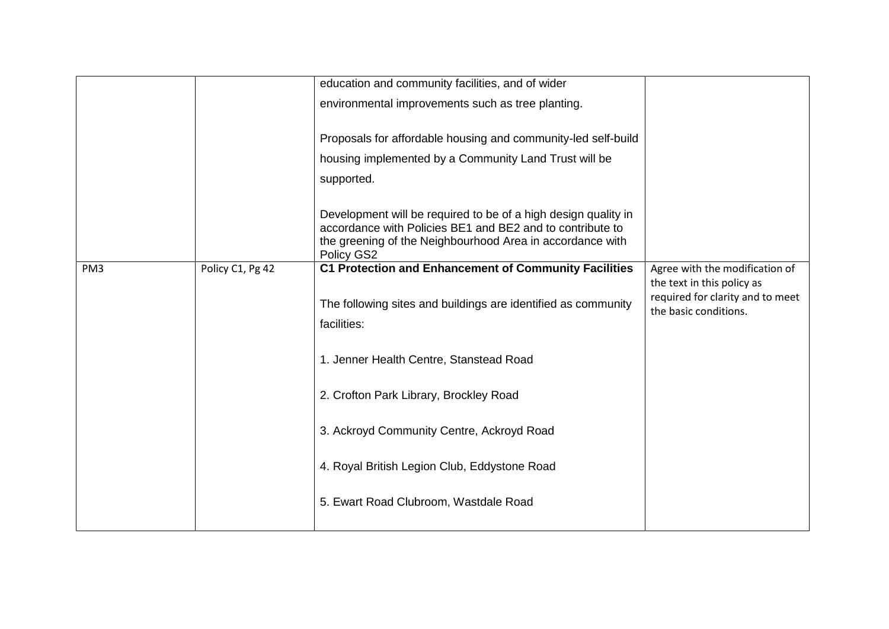|                 |                  | education and community facilities, and of wider                                                                                                                                                       |                                                                                         |
|-----------------|------------------|--------------------------------------------------------------------------------------------------------------------------------------------------------------------------------------------------------|-----------------------------------------------------------------------------------------|
|                 |                  | environmental improvements such as tree planting.                                                                                                                                                      |                                                                                         |
|                 |                  | Proposals for affordable housing and community-led self-build                                                                                                                                          |                                                                                         |
|                 |                  | housing implemented by a Community Land Trust will be                                                                                                                                                  |                                                                                         |
|                 |                  | supported.                                                                                                                                                                                             |                                                                                         |
|                 |                  | Development will be required to be of a high design quality in<br>accordance with Policies BE1 and BE2 and to contribute to<br>the greening of the Neighbourhood Area in accordance with<br>Policy GS2 |                                                                                         |
| PM <sub>3</sub> | Policy C1, Pg 42 | <b>C1 Protection and Enhancement of Community Facilities</b>                                                                                                                                           | Agree with the modification of                                                          |
|                 |                  | The following sites and buildings are identified as community<br>facilities:                                                                                                                           | the text in this policy as<br>required for clarity and to meet<br>the basic conditions. |
|                 |                  | 1. Jenner Health Centre, Stanstead Road                                                                                                                                                                |                                                                                         |
|                 |                  | 2. Crofton Park Library, Brockley Road                                                                                                                                                                 |                                                                                         |
|                 |                  | 3. Ackroyd Community Centre, Ackroyd Road                                                                                                                                                              |                                                                                         |
|                 |                  | 4. Royal British Legion Club, Eddystone Road                                                                                                                                                           |                                                                                         |
|                 |                  | 5. Ewart Road Clubroom, Wastdale Road                                                                                                                                                                  |                                                                                         |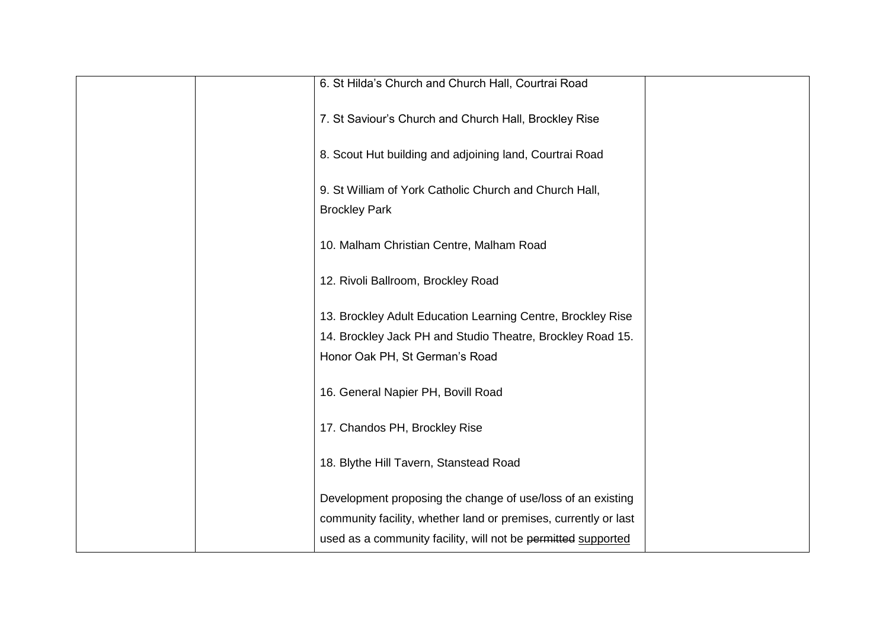| 6. St Hilda's Church and Church Hall, Courtrai Road             |
|-----------------------------------------------------------------|
| 7. St Saviour's Church and Church Hall, Brockley Rise           |
| 8. Scout Hut building and adjoining land, Courtrai Road         |
| 9. St William of York Catholic Church and Church Hall,          |
| <b>Brockley Park</b>                                            |
| 10. Malham Christian Centre, Malham Road                        |
| 12. Rivoli Ballroom, Brockley Road                              |
| 13. Brockley Adult Education Learning Centre, Brockley Rise     |
| 14. Brockley Jack PH and Studio Theatre, Brockley Road 15.      |
| Honor Oak PH, St German's Road                                  |
| 16. General Napier PH, Bovill Road                              |
| 17. Chandos PH, Brockley Rise                                   |
| 18. Blythe Hill Tavern, Stanstead Road                          |
| Development proposing the change of use/loss of an existing     |
| community facility, whether land or premises, currently or last |
| used as a community facility, will not be permitted supported   |
|                                                                 |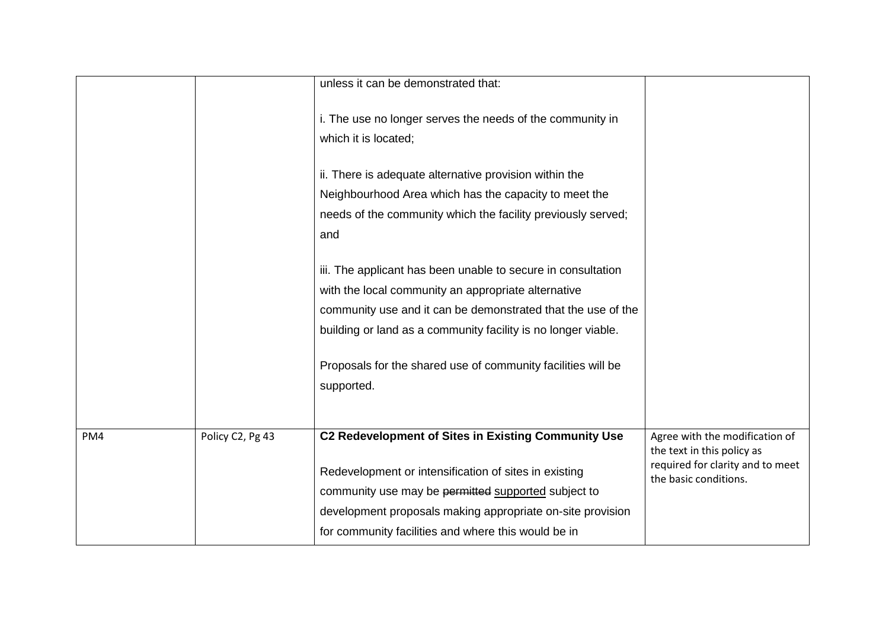|     |                  | unless it can be demonstrated that:                                               |                                                              |
|-----|------------------|-----------------------------------------------------------------------------------|--------------------------------------------------------------|
|     |                  | i. The use no longer serves the needs of the community in<br>which it is located; |                                                              |
|     |                  | ii. There is adequate alternative provision within the                            |                                                              |
|     |                  | Neighbourhood Area which has the capacity to meet the                             |                                                              |
|     |                  | needs of the community which the facility previously served;                      |                                                              |
|     |                  | and                                                                               |                                                              |
|     |                  | iii. The applicant has been unable to secure in consultation                      |                                                              |
|     |                  | with the local community an appropriate alternative                               |                                                              |
|     |                  | community use and it can be demonstrated that the use of the                      |                                                              |
|     |                  | building or land as a community facility is no longer viable.                     |                                                              |
|     |                  | Proposals for the shared use of community facilities will be                      |                                                              |
|     |                  | supported.                                                                        |                                                              |
|     |                  |                                                                                   |                                                              |
|     |                  | C2 Redevelopment of Sites in Existing Community Use                               |                                                              |
| PM4 | Policy C2, Pg 43 |                                                                                   | Agree with the modification of<br>the text in this policy as |
|     |                  | Redevelopment or intensification of sites in existing                             | required for clarity and to meet<br>the basic conditions.    |
|     |                  | community use may be permitted supported subject to                               |                                                              |
|     |                  | development proposals making appropriate on-site provision                        |                                                              |
|     |                  | for community facilities and where this would be in                               |                                                              |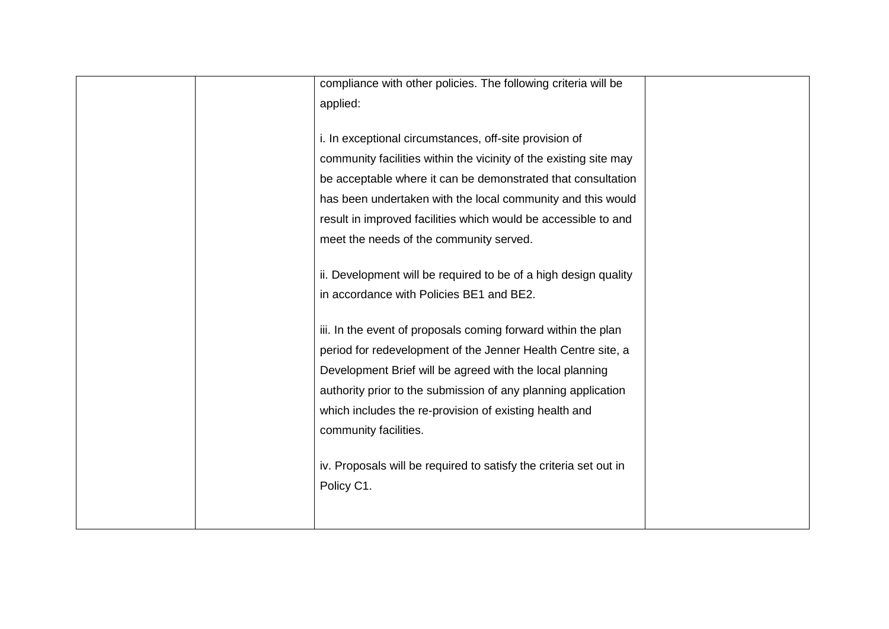| compliance with other policies. The following criteria will be    |  |
|-------------------------------------------------------------------|--|
| applied:                                                          |  |
|                                                                   |  |
| i. In exceptional circumstances, off-site provision of            |  |
| community facilities within the vicinity of the existing site may |  |
| be acceptable where it can be demonstrated that consultation      |  |
| has been undertaken with the local community and this would       |  |
| result in improved facilities which would be accessible to and    |  |
| meet the needs of the community served.                           |  |
|                                                                   |  |
| ii. Development will be required to be of a high design quality   |  |
| in accordance with Policies BE1 and BE2.                          |  |
|                                                                   |  |
| iii. In the event of proposals coming forward within the plan     |  |
| period for redevelopment of the Jenner Health Centre site, a      |  |
| Development Brief will be agreed with the local planning          |  |
| authority prior to the submission of any planning application     |  |
| which includes the re-provision of existing health and            |  |
| community facilities.                                             |  |
|                                                                   |  |
| iv. Proposals will be required to satisfy the criteria set out in |  |
| Policy C1.                                                        |  |
|                                                                   |  |
|                                                                   |  |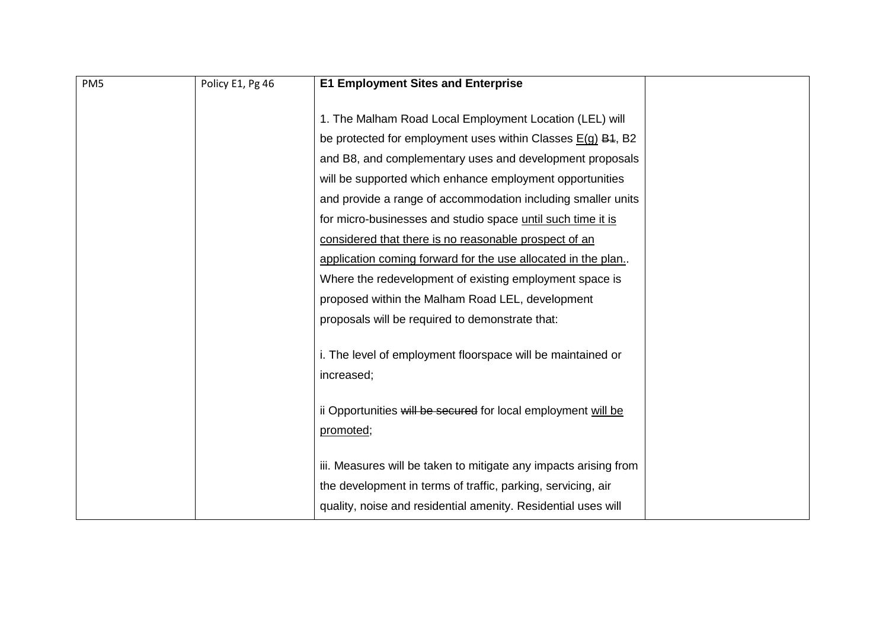| PM <sub>5</sub> | Policy E1, Pg 46 | <b>E1 Employment Sites and Enterprise</b>                        |  |
|-----------------|------------------|------------------------------------------------------------------|--|
|                 |                  |                                                                  |  |
|                 |                  | 1. The Malham Road Local Employment Location (LEL) will          |  |
|                 |                  | be protected for employment uses within Classes $E(g)$ B4, B2    |  |
|                 |                  | and B8, and complementary uses and development proposals         |  |
|                 |                  | will be supported which enhance employment opportunities         |  |
|                 |                  | and provide a range of accommodation including smaller units     |  |
|                 |                  | for micro-businesses and studio space until such time it is      |  |
|                 |                  | considered that there is no reasonable prospect of an            |  |
|                 |                  | application coming forward for the use allocated in the plan.    |  |
|                 |                  | Where the redevelopment of existing employment space is          |  |
|                 |                  | proposed within the Malham Road LEL, development                 |  |
|                 |                  | proposals will be required to demonstrate that:                  |  |
|                 |                  |                                                                  |  |
|                 |                  | i. The level of employment floorspace will be maintained or      |  |
|                 |                  | increased;                                                       |  |
|                 |                  |                                                                  |  |
|                 |                  | ii Opportunities will be secured for local employment will be    |  |
|                 |                  | promoted;                                                        |  |
|                 |                  |                                                                  |  |
|                 |                  | iii. Measures will be taken to mitigate any impacts arising from |  |
|                 |                  | the development in terms of traffic, parking, servicing, air     |  |
|                 |                  | quality, noise and residential amenity. Residential uses will    |  |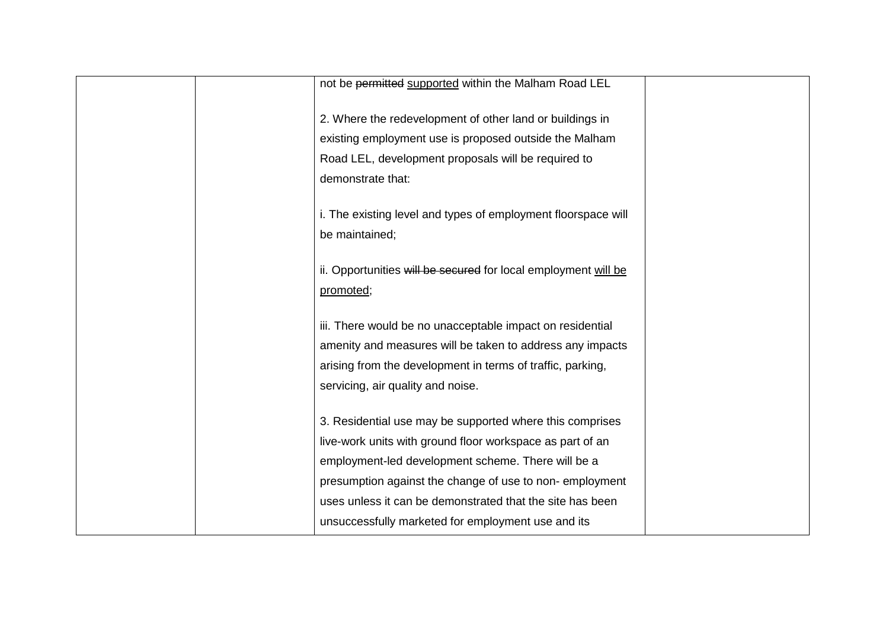| not be permitted supported within the Malham Road LEL          |  |
|----------------------------------------------------------------|--|
| 2. Where the redevelopment of other land or buildings in       |  |
| existing employment use is proposed outside the Malham         |  |
| Road LEL, development proposals will be required to            |  |
| demonstrate that:                                              |  |
|                                                                |  |
| i. The existing level and types of employment floorspace will  |  |
| be maintained;                                                 |  |
| ii. Opportunities will be secured for local employment will be |  |
| promoted;                                                      |  |
|                                                                |  |
| iii. There would be no unacceptable impact on residential      |  |
| amenity and measures will be taken to address any impacts      |  |
| arising from the development in terms of traffic, parking,     |  |
| servicing, air quality and noise.                              |  |
|                                                                |  |
| 3. Residential use may be supported where this comprises       |  |
| live-work units with ground floor workspace as part of an      |  |
| employment-led development scheme. There will be a             |  |
| presumption against the change of use to non-employment        |  |
| uses unless it can be demonstrated that the site has been      |  |
| unsuccessfully marketed for employment use and its             |  |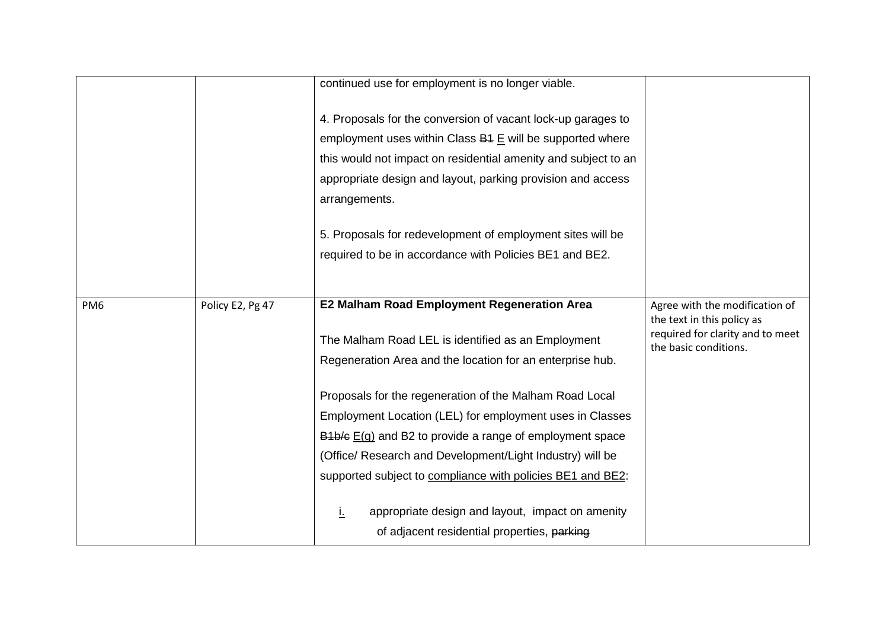|                 |                  | continued use for employment is no longer viable.                                                                                                                                                                                                                           |                                                                |
|-----------------|------------------|-----------------------------------------------------------------------------------------------------------------------------------------------------------------------------------------------------------------------------------------------------------------------------|----------------------------------------------------------------|
|                 |                  |                                                                                                                                                                                                                                                                             |                                                                |
|                 |                  | 4. Proposals for the conversion of vacant lock-up garages to<br>employment uses within Class B4 E will be supported where<br>this would not impact on residential amenity and subject to an<br>appropriate design and layout, parking provision and access<br>arrangements. |                                                                |
|                 |                  | 5. Proposals for redevelopment of employment sites will be                                                                                                                                                                                                                  |                                                                |
|                 |                  | required to be in accordance with Policies BE1 and BE2.                                                                                                                                                                                                                     |                                                                |
|                 |                  |                                                                                                                                                                                                                                                                             |                                                                |
| PM <sub>6</sub> | Policy E2, Pg 47 | <b>E2 Malham Road Employment Regeneration Area</b>                                                                                                                                                                                                                          | Agree with the modification of                                 |
|                 |                  | The Malham Road LEL is identified as an Employment                                                                                                                                                                                                                          | the text in this policy as<br>required for clarity and to meet |
|                 |                  | Regeneration Area and the location for an enterprise hub.                                                                                                                                                                                                                   | the basic conditions.                                          |
|                 |                  | Proposals for the regeneration of the Malham Road Local                                                                                                                                                                                                                     |                                                                |
|                 |                  | Employment Location (LEL) for employment uses in Classes                                                                                                                                                                                                                    |                                                                |
|                 |                  | $B4b/e E(g)$ and B2 to provide a range of employment space                                                                                                                                                                                                                  |                                                                |
|                 |                  | (Office/ Research and Development/Light Industry) will be                                                                                                                                                                                                                   |                                                                |
|                 |                  | supported subject to compliance with policies BE1 and BE2:                                                                                                                                                                                                                  |                                                                |
|                 |                  | appropriate design and layout, impact on amenity<br>L.                                                                                                                                                                                                                      |                                                                |
|                 |                  | of adjacent residential properties, parking                                                                                                                                                                                                                                 |                                                                |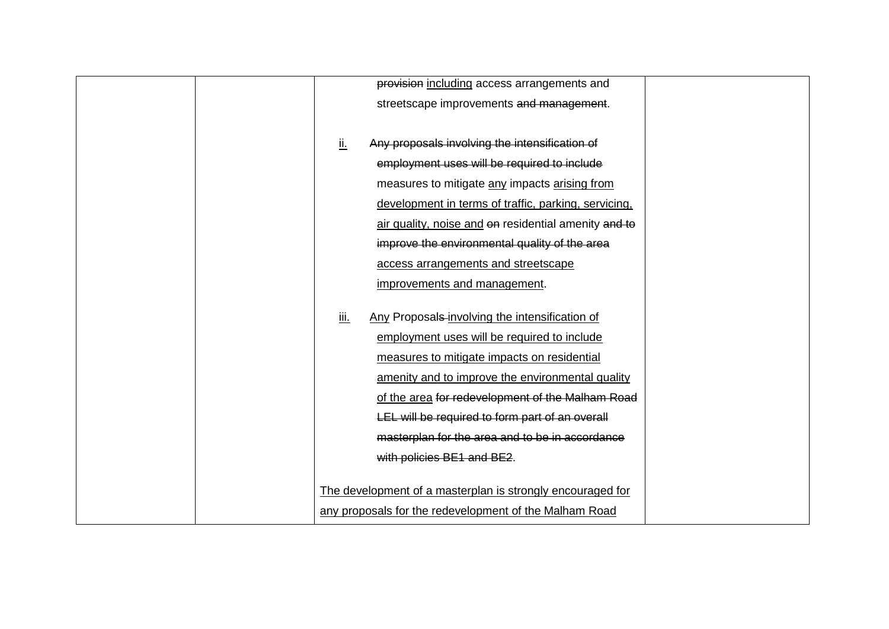| provision including access arrangements and                  |
|--------------------------------------------------------------|
| streetscape improvements and management.                     |
|                                                              |
| <u>іі.</u><br>Any proposals involving the intensification of |
| employment uses will be required to include                  |
| measures to mitigate any impacts arising from                |
| development in terms of traffic, parking, servicing,         |
| air quality, noise and on residential amenity and to         |
| improve the environmental quality of the area                |
| access arrangements and streetscape                          |
| improvements and management.                                 |
|                                                              |
| Any Proposals-involving the intensification of<br>iii.       |
| employment uses will be required to include                  |
| measures to mitigate impacts on residential                  |
| amenity and to improve the environmental quality             |
| of the area for redevelopment of the Malham Road             |
| LEL will be required to form part of an overall              |
| masterplan for the area and to be in accordance              |
| with policies BE1 and BE2.                                   |
|                                                              |
| The development of a masterplan is strongly encouraged for   |
| any proposals for the redevelopment of the Malham Road       |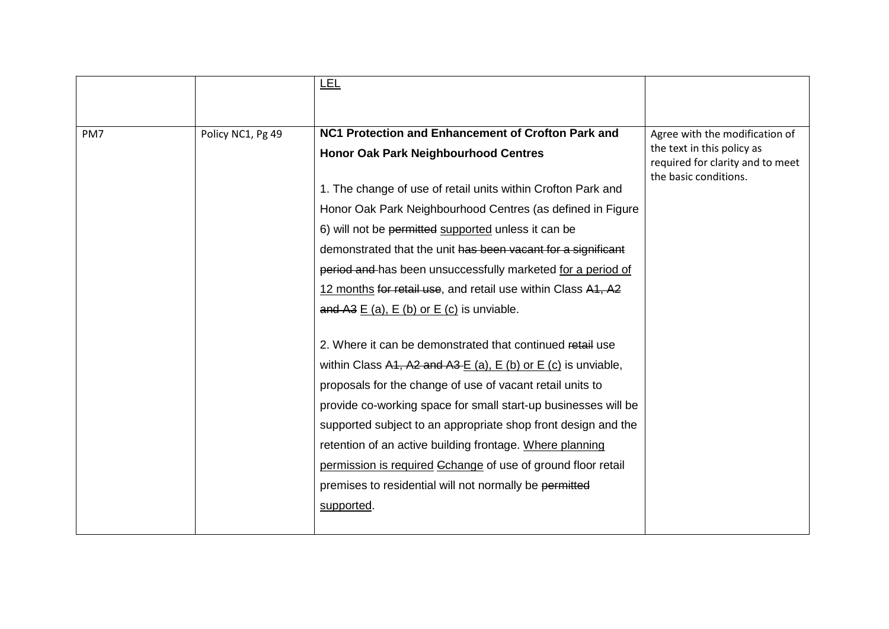|     |                   | <u>LEL</u>                                                          |                                                              |
|-----|-------------------|---------------------------------------------------------------------|--------------------------------------------------------------|
|     |                   |                                                                     |                                                              |
|     |                   |                                                                     |                                                              |
| PM7 | Policy NC1, Pg 49 | NC1 Protection and Enhancement of Crofton Park and                  | Agree with the modification of<br>the text in this policy as |
|     |                   | <b>Honor Oak Park Neighbourhood Centres</b>                         | required for clarity and to meet                             |
|     |                   | 1. The change of use of retail units within Crofton Park and        | the basic conditions.                                        |
|     |                   | Honor Oak Park Neighbourhood Centres (as defined in Figure          |                                                              |
|     |                   | 6) will not be permitted supported unless it can be                 |                                                              |
|     |                   | demonstrated that the unit has been vacant for a significant        |                                                              |
|     |                   | period and has been unsuccessfully marketed for a period of         |                                                              |
|     |                   | 12 months for retail use, and retail use within Class A1, A2        |                                                              |
|     |                   | and A3 $E$ (a), $E$ (b) or $E$ (c) is unviable.                     |                                                              |
|     |                   |                                                                     |                                                              |
|     |                   | 2. Where it can be demonstrated that continued retail use           |                                                              |
|     |                   | within Class A1, A2 and A3 $E$ (a), $E$ (b) or $E$ (c) is unviable, |                                                              |
|     |                   | proposals for the change of use of vacant retail units to           |                                                              |
|     |                   | provide co-working space for small start-up businesses will be      |                                                              |
|     |                   | supported subject to an appropriate shop front design and the       |                                                              |
|     |                   | retention of an active building frontage. Where planning            |                                                              |
|     |                   | permission is required Gchange of use of ground floor retail        |                                                              |
|     |                   | premises to residential will not normally be permitted              |                                                              |
|     |                   | supported.                                                          |                                                              |
|     |                   |                                                                     |                                                              |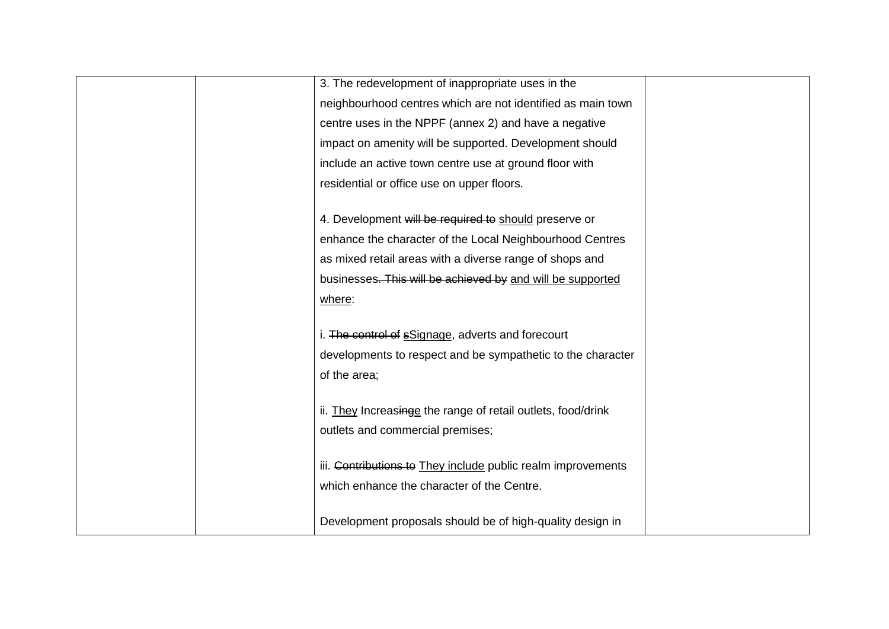|  | 3. The redevelopment of inappropriate uses in the            |  |
|--|--------------------------------------------------------------|--|
|  | neighbourhood centres which are not identified as main town  |  |
|  | centre uses in the NPPF (annex 2) and have a negative        |  |
|  | impact on amenity will be supported. Development should      |  |
|  | include an active town centre use at ground floor with       |  |
|  | residential or office use on upper floors.                   |  |
|  |                                                              |  |
|  | 4. Development will be required to should preserve or        |  |
|  | enhance the character of the Local Neighbourhood Centres     |  |
|  | as mixed retail areas with a diverse range of shops and      |  |
|  | businesses. This will be achieved by and will be supported   |  |
|  | where:                                                       |  |
|  |                                                              |  |
|  | i. The control of sSignage, adverts and forecourt            |  |
|  | developments to respect and be sympathetic to the character  |  |
|  | of the area;                                                 |  |
|  |                                                              |  |
|  | ii. They Increasinge the range of retail outlets, food/drink |  |
|  | outlets and commercial premises;                             |  |
|  |                                                              |  |
|  | iii. Contributions to They include public realm improvements |  |
|  | which enhance the character of the Centre.                   |  |
|  | Development proposals should be of high-quality design in    |  |
|  |                                                              |  |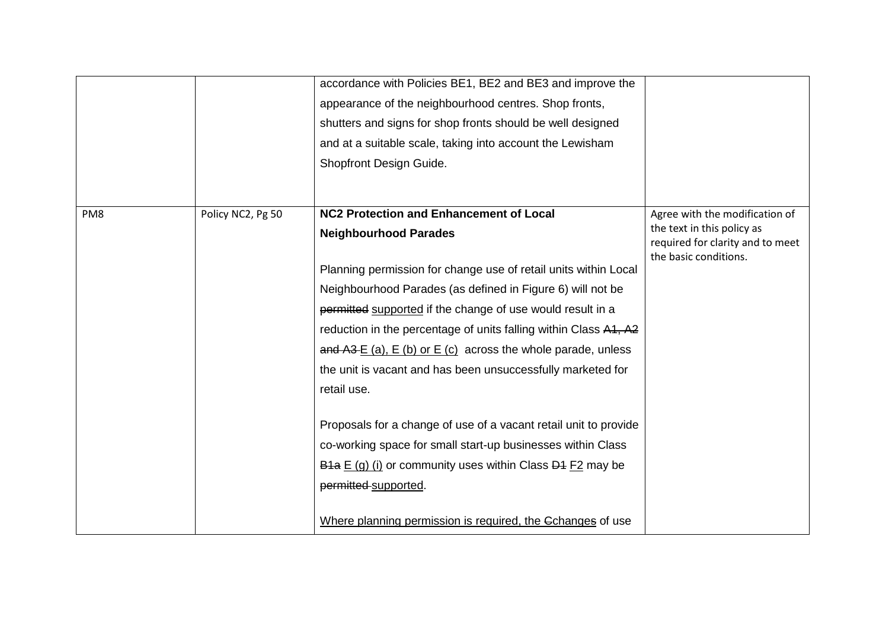|     |                   | accordance with Policies BE1, BE2 and BE3 and improve the<br>appearance of the neighbourhood centres. Shop fronts,<br>shutters and signs for shop fronts should be well designed<br>and at a suitable scale, taking into account the Lewisham<br>Shopfront Design Guide.                                                                                                                                          |                                                                                                  |
|-----|-------------------|-------------------------------------------------------------------------------------------------------------------------------------------------------------------------------------------------------------------------------------------------------------------------------------------------------------------------------------------------------------------------------------------------------------------|--------------------------------------------------------------------------------------------------|
| PM8 | Policy NC2, Pg 50 | <b>NC2 Protection and Enhancement of Local</b><br><b>Neighbourhood Parades</b>                                                                                                                                                                                                                                                                                                                                    | Agree with the modification of<br>the text in this policy as<br>required for clarity and to meet |
|     |                   | Planning permission for change use of retail units within Local<br>Neighbourhood Parades (as defined in Figure 6) will not be<br>permitted supported if the change of use would result in a<br>reduction in the percentage of units falling within Class A1, A2<br>and $A3 E(a)$ , $E(b)$ or $E(c)$ across the whole parade, unless<br>the unit is vacant and has been unsuccessfully marketed for<br>retail use. | the basic conditions.                                                                            |
|     |                   | Proposals for a change of use of a vacant retail unit to provide<br>co-working space for small start-up businesses within Class<br>$\overline{B4a}$ E (g) (i) or community uses within Class $\overline{D4}$ F2 may be<br>permitted supported.<br>Where planning permission is required, the Cchanges of use                                                                                                      |                                                                                                  |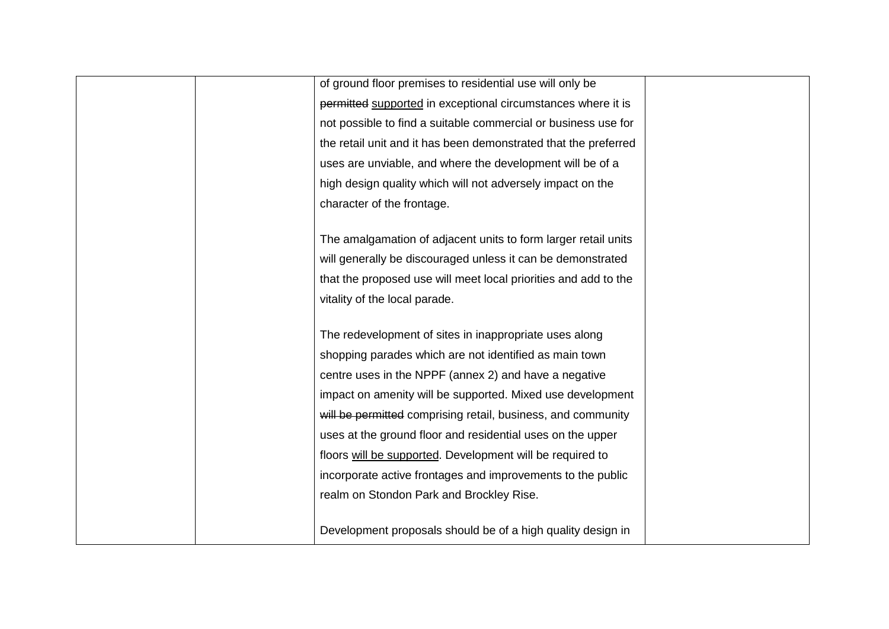| of ground floor premises to residential use will only be        |  |
|-----------------------------------------------------------------|--|
| permitted supported in exceptional circumstances where it is    |  |
| not possible to find a suitable commercial or business use for  |  |
| the retail unit and it has been demonstrated that the preferred |  |
| uses are unviable, and where the development will be of a       |  |
| high design quality which will not adversely impact on the      |  |
| character of the frontage.                                      |  |
|                                                                 |  |
| The amalgamation of adjacent units to form larger retail units  |  |
| will generally be discouraged unless it can be demonstrated     |  |
| that the proposed use will meet local priorities and add to the |  |
| vitality of the local parade.                                   |  |
|                                                                 |  |
| The redevelopment of sites in inappropriate uses along          |  |
| shopping parades which are not identified as main town          |  |
| centre uses in the NPPF (annex 2) and have a negative           |  |
| impact on amenity will be supported. Mixed use development      |  |
| will be permitted comprising retail, business, and community    |  |
| uses at the ground floor and residential uses on the upper      |  |
| floors will be supported. Development will be required to       |  |
| incorporate active frontages and improvements to the public     |  |
| realm on Stondon Park and Brockley Rise.                        |  |
|                                                                 |  |
| Development proposals should be of a high quality design in     |  |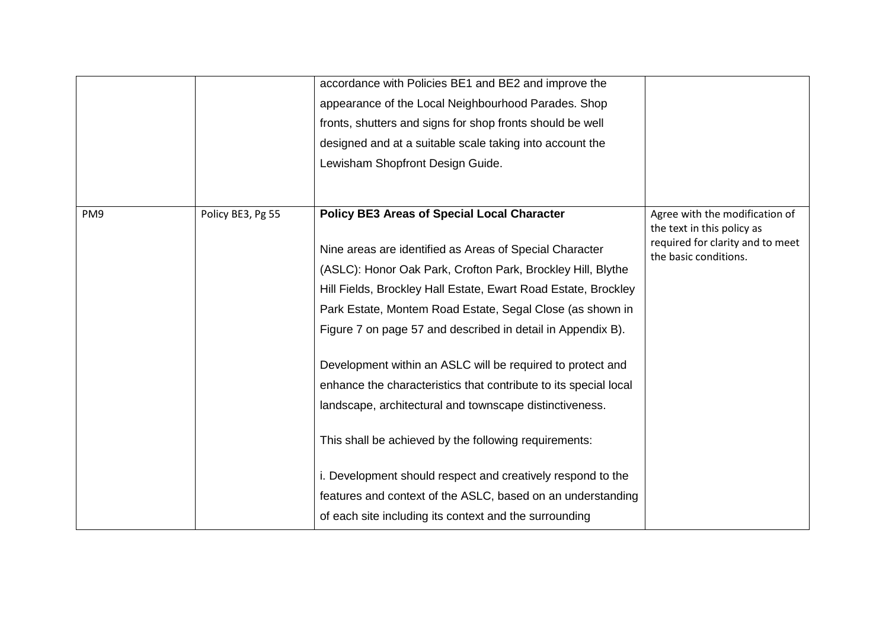|     |                   | accordance with Policies BE1 and BE2 and improve the<br>appearance of the Local Neighbourhood Parades. Shop<br>fronts, shutters and signs for shop fronts should be well<br>designed and at a suitable scale taking into account the<br>Lewisham Shopfront Design Guide.                                                                                                                                                                                                                                                                                                                                                                                                                                                                                                                                                 |                                                                                                                           |
|-----|-------------------|--------------------------------------------------------------------------------------------------------------------------------------------------------------------------------------------------------------------------------------------------------------------------------------------------------------------------------------------------------------------------------------------------------------------------------------------------------------------------------------------------------------------------------------------------------------------------------------------------------------------------------------------------------------------------------------------------------------------------------------------------------------------------------------------------------------------------|---------------------------------------------------------------------------------------------------------------------------|
| PM9 | Policy BE3, Pg 55 | <b>Policy BE3 Areas of Special Local Character</b><br>Nine areas are identified as Areas of Special Character<br>(ASLC): Honor Oak Park, Crofton Park, Brockley Hill, Blythe<br>Hill Fields, Brockley Hall Estate, Ewart Road Estate, Brockley<br>Park Estate, Montem Road Estate, Segal Close (as shown in<br>Figure 7 on page 57 and described in detail in Appendix B).<br>Development within an ASLC will be required to protect and<br>enhance the characteristics that contribute to its special local<br>landscape, architectural and townscape distinctiveness.<br>This shall be achieved by the following requirements:<br>i. Development should respect and creatively respond to the<br>features and context of the ASLC, based on an understanding<br>of each site including its context and the surrounding | Agree with the modification of<br>the text in this policy as<br>required for clarity and to meet<br>the basic conditions. |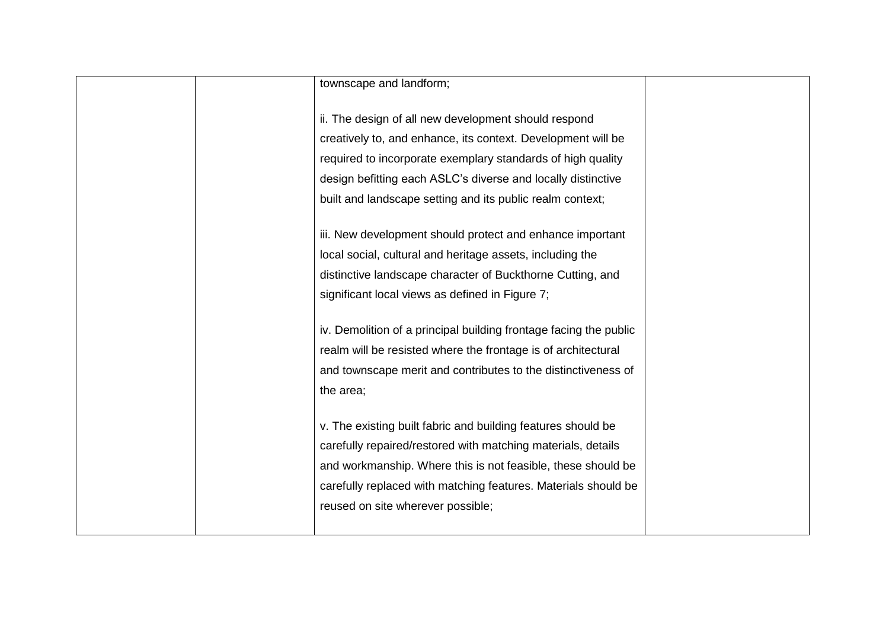|  | townscape and landform;                                           |  |
|--|-------------------------------------------------------------------|--|
|  |                                                                   |  |
|  | ii. The design of all new development should respond              |  |
|  | creatively to, and enhance, its context. Development will be      |  |
|  | required to incorporate exemplary standards of high quality       |  |
|  | design befitting each ASLC's diverse and locally distinctive      |  |
|  | built and landscape setting and its public realm context;         |  |
|  |                                                                   |  |
|  | iii. New development should protect and enhance important         |  |
|  | local social, cultural and heritage assets, including the         |  |
|  | distinctive landscape character of Buckthorne Cutting, and        |  |
|  | significant local views as defined in Figure 7;                   |  |
|  |                                                                   |  |
|  | iv. Demolition of a principal building frontage facing the public |  |
|  | realm will be resisted where the frontage is of architectural     |  |
|  | and townscape merit and contributes to the distinctiveness of     |  |
|  | the area;                                                         |  |
|  |                                                                   |  |
|  | v. The existing built fabric and building features should be      |  |
|  | carefully repaired/restored with matching materials, details      |  |
|  | and workmanship. Where this is not feasible, these should be      |  |
|  | carefully replaced with matching features. Materials should be    |  |
|  | reused on site wherever possible;                                 |  |
|  |                                                                   |  |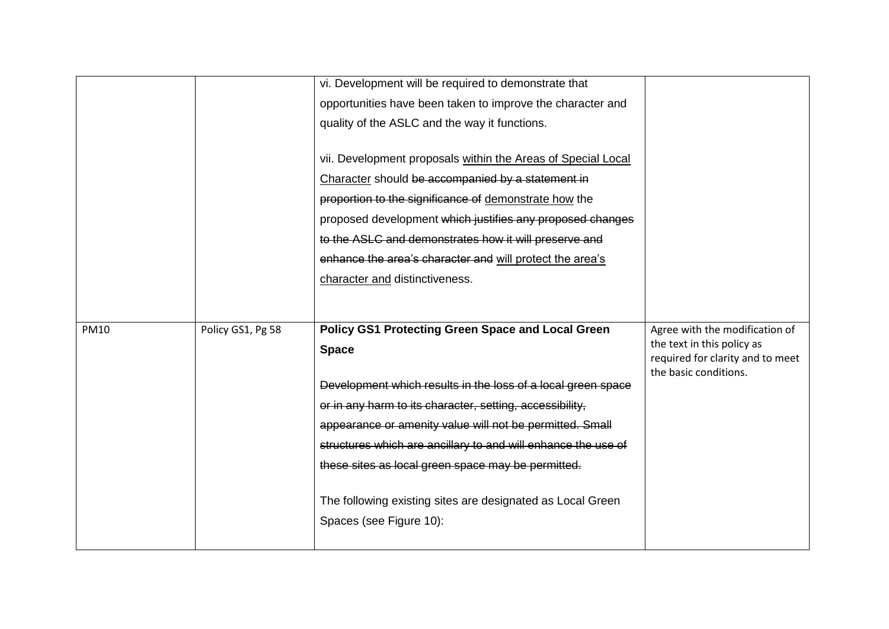|             |                   | vi. Development will be required to demonstrate that          |                                                              |
|-------------|-------------------|---------------------------------------------------------------|--------------------------------------------------------------|
|             |                   | opportunities have been taken to improve the character and    |                                                              |
|             |                   | quality of the ASLC and the way it functions.                 |                                                              |
|             |                   |                                                               |                                                              |
|             |                   | vii. Development proposals within the Areas of Special Local  |                                                              |
|             |                   | Character should be accompanied by a statement in             |                                                              |
|             |                   | proportion to the significance of demonstrate how the         |                                                              |
|             |                   | proposed development which justifies any proposed changes     |                                                              |
|             |                   | to the ASLC and demonstrates how it will preserve and         |                                                              |
|             |                   | enhance the area's character and will protect the area's      |                                                              |
|             |                   | character and distinctiveness.                                |                                                              |
|             |                   |                                                               |                                                              |
|             |                   |                                                               |                                                              |
| <b>PM10</b> | Policy GS1, Pg 58 | <b>Policy GS1 Protecting Green Space and Local Green</b>      | Agree with the modification of<br>the text in this policy as |
|             |                   | <b>Space</b>                                                  | required for clarity and to meet                             |
|             |                   |                                                               | the basic conditions.                                        |
|             |                   | Development which results in the loss of a local green space  |                                                              |
|             |                   | or in any harm to its character, setting, accessibility,      |                                                              |
|             |                   | appearance or amenity value will not be permitted. Small      |                                                              |
|             |                   | structures which are ancillary to and will enhance the use of |                                                              |
|             |                   | these sites as local green space may be permitted.            |                                                              |
|             |                   |                                                               |                                                              |
|             |                   |                                                               |                                                              |
|             |                   | The following existing sites are designated as Local Green    |                                                              |
|             |                   | Spaces (see Figure 10):                                       |                                                              |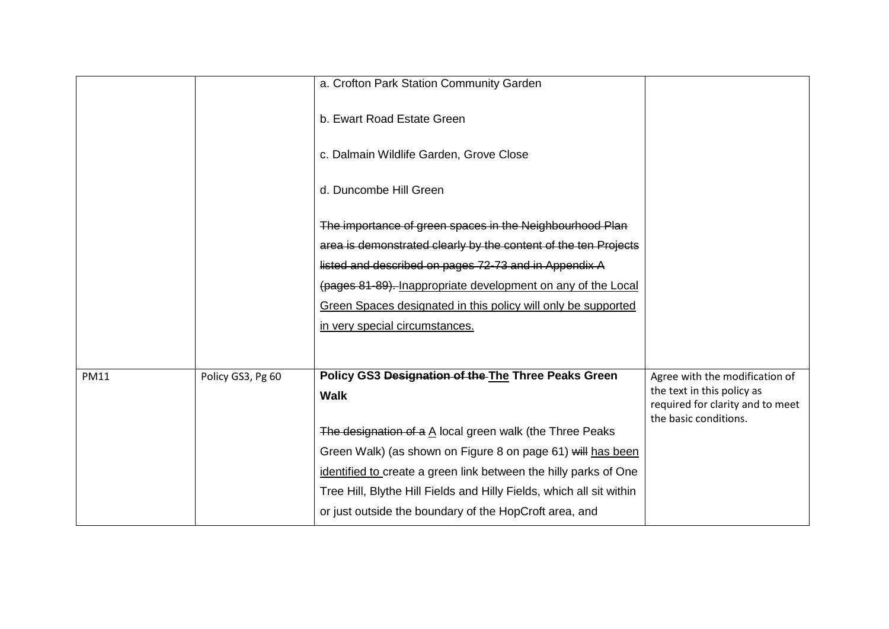|             |                   | a. Crofton Park Station Community Garden                               |                                                              |
|-------------|-------------------|------------------------------------------------------------------------|--------------------------------------------------------------|
|             |                   | b. Ewart Road Estate Green                                             |                                                              |
|             |                   | c. Dalmain Wildlife Garden, Grove Close                                |                                                              |
|             |                   | d. Duncombe Hill Green                                                 |                                                              |
|             |                   | The importance of green spaces in the Neighbourhood Plan               |                                                              |
|             |                   | area is demonstrated clearly by the content of the ten Projects        |                                                              |
|             |                   | listed and described on pages 72-73 and in Appendix A                  |                                                              |
|             |                   | (pages 81-89). Inappropriate development on any of the Local           |                                                              |
|             |                   | Green Spaces designated in this policy will only be supported          |                                                              |
|             |                   | in very special circumstances.                                         |                                                              |
|             |                   |                                                                        |                                                              |
|             |                   | Policy GS3 Designation of the The Three Peaks Green                    |                                                              |
| <b>PM11</b> | Policy GS3, Pg 60 | <b>Walk</b>                                                            | Agree with the modification of<br>the text in this policy as |
|             |                   |                                                                        | required for clarity and to meet                             |
|             |                   | The designation of a $\underline{A}$ local green walk (the Three Peaks | the basic conditions.                                        |
|             |                   | Green Walk) (as shown on Figure 8 on page 61) will has been            |                                                              |
|             |                   | identified to create a green link between the hilly parks of One       |                                                              |
|             |                   | Tree Hill, Blythe Hill Fields and Hilly Fields, which all sit within   |                                                              |
|             |                   | or just outside the boundary of the HopCroft area, and                 |                                                              |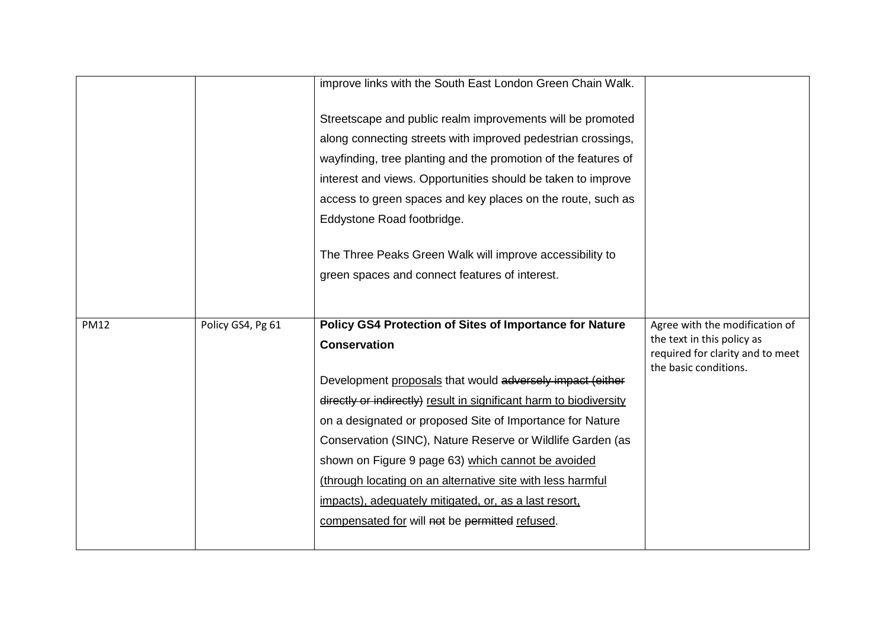|             |                   | improve links with the South East London Green Chain Walk.         |                                                           |
|-------------|-------------------|--------------------------------------------------------------------|-----------------------------------------------------------|
|             |                   | Streetscape and public realm improvements will be promoted         |                                                           |
|             |                   | along connecting streets with improved pedestrian crossings,       |                                                           |
|             |                   | wayfinding, tree planting and the promotion of the features of     |                                                           |
|             |                   | interest and views. Opportunities should be taken to improve       |                                                           |
|             |                   | access to green spaces and key places on the route, such as        |                                                           |
|             |                   | Eddystone Road footbridge.                                         |                                                           |
|             |                   | The Three Peaks Green Walk will improve accessibility to           |                                                           |
|             |                   | green spaces and connect features of interest.                     |                                                           |
|             |                   |                                                                    |                                                           |
|             |                   |                                                                    |                                                           |
| <b>PM12</b> | Policy GS4, Pg 61 | <b>Policy GS4 Protection of Sites of Importance for Nature</b>     | Agree with the modification of                            |
|             |                   | <b>Conservation</b>                                                | the text in this policy as                                |
|             |                   |                                                                    | required for clarity and to meet<br>the basic conditions. |
|             |                   | Development proposals that would adversely impact (either          |                                                           |
|             |                   | directly or indirectly) result in significant harm to biodiversity |                                                           |
|             |                   | on a designated or proposed Site of Importance for Nature          |                                                           |
|             |                   | Conservation (SINC), Nature Reserve or Wildlife Garden (as         |                                                           |
|             |                   | shown on Figure 9 page 63) which cannot be avoided                 |                                                           |
|             |                   | (through locating on an alternative site with less harmful         |                                                           |
|             |                   | impacts), adequately mitigated, or, as a last resort,              |                                                           |
|             |                   | compensated for will not be permitted refused.                     |                                                           |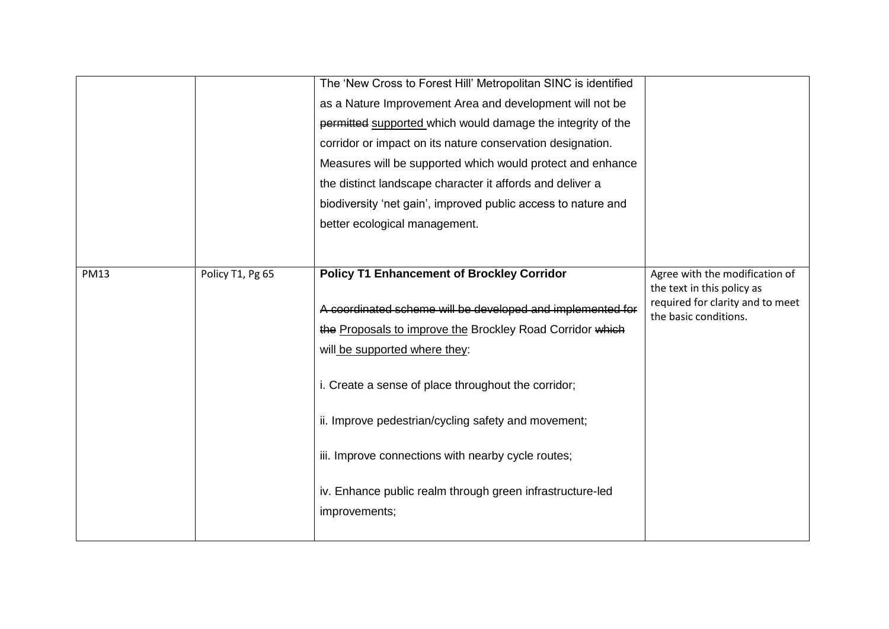|             |                  | The 'New Cross to Forest Hill' Metropolitan SINC is identified |                                                           |
|-------------|------------------|----------------------------------------------------------------|-----------------------------------------------------------|
|             |                  | as a Nature Improvement Area and development will not be       |                                                           |
|             |                  | permitted supported which would damage the integrity of the    |                                                           |
|             |                  | corridor or impact on its nature conservation designation.     |                                                           |
|             |                  | Measures will be supported which would protect and enhance     |                                                           |
|             |                  | the distinct landscape character it affords and deliver a      |                                                           |
|             |                  | biodiversity 'net gain', improved public access to nature and  |                                                           |
|             |                  | better ecological management.                                  |                                                           |
|             |                  |                                                                |                                                           |
| <b>PM13</b> | Policy T1, Pg 65 | <b>Policy T1 Enhancement of Brockley Corridor</b>              | Agree with the modification of                            |
|             |                  |                                                                | the text in this policy as                                |
|             |                  | A coordinated scheme will be developed and implemented for     | required for clarity and to meet<br>the basic conditions. |
|             |                  | the Proposals to improve the Brockley Road Corridor which      |                                                           |
|             |                  | will be supported where they:                                  |                                                           |
|             |                  |                                                                |                                                           |
|             |                  | i. Create a sense of place throughout the corridor;            |                                                           |
|             |                  |                                                                |                                                           |
|             |                  | ii. Improve pedestrian/cycling safety and movement;            |                                                           |
|             |                  | iii. Improve connections with nearby cycle routes;             |                                                           |
|             |                  |                                                                |                                                           |
|             |                  | iv. Enhance public realm through green infrastructure-led      |                                                           |
|             |                  | improvements;                                                  |                                                           |
|             |                  |                                                                |                                                           |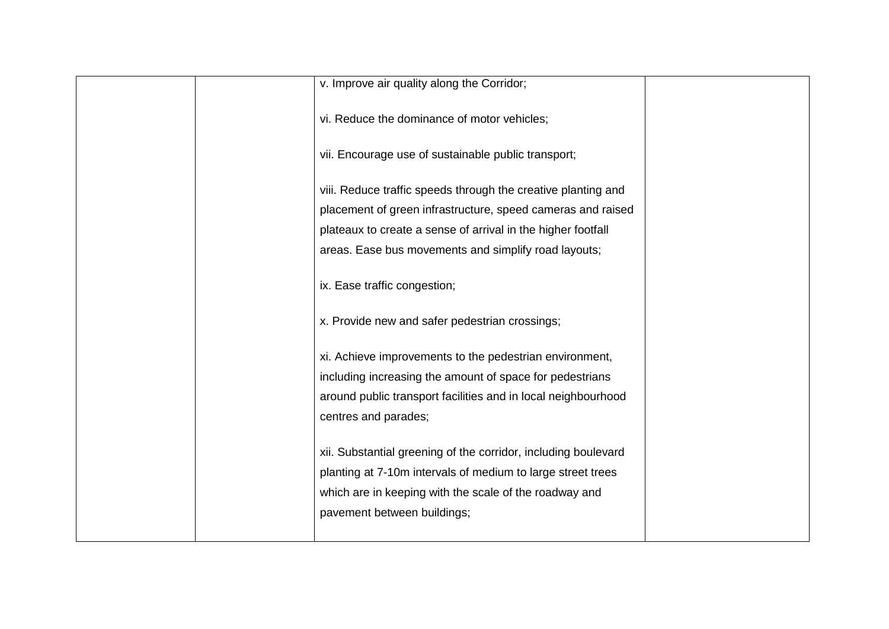| v. Improve air quality along the Corridor;                     |  |
|----------------------------------------------------------------|--|
| vi. Reduce the dominance of motor vehicles;                    |  |
| vii. Encourage use of sustainable public transport;            |  |
| viii. Reduce traffic speeds through the creative planting and  |  |
| placement of green infrastructure, speed cameras and raised    |  |
| plateaux to create a sense of arrival in the higher footfall   |  |
| areas. Ease bus movements and simplify road layouts;           |  |
|                                                                |  |
| ix. Ease traffic congestion;                                   |  |
| x. Provide new and safer pedestrian crossings;                 |  |
| xi. Achieve improvements to the pedestrian environment,        |  |
| including increasing the amount of space for pedestrians       |  |
| around public transport facilities and in local neighbourhood  |  |
| centres and parades;                                           |  |
|                                                                |  |
| xii. Substantial greening of the corridor, including boulevard |  |
| planting at 7-10m intervals of medium to large street trees    |  |
| which are in keeping with the scale of the roadway and         |  |
| pavement between buildings;                                    |  |
|                                                                |  |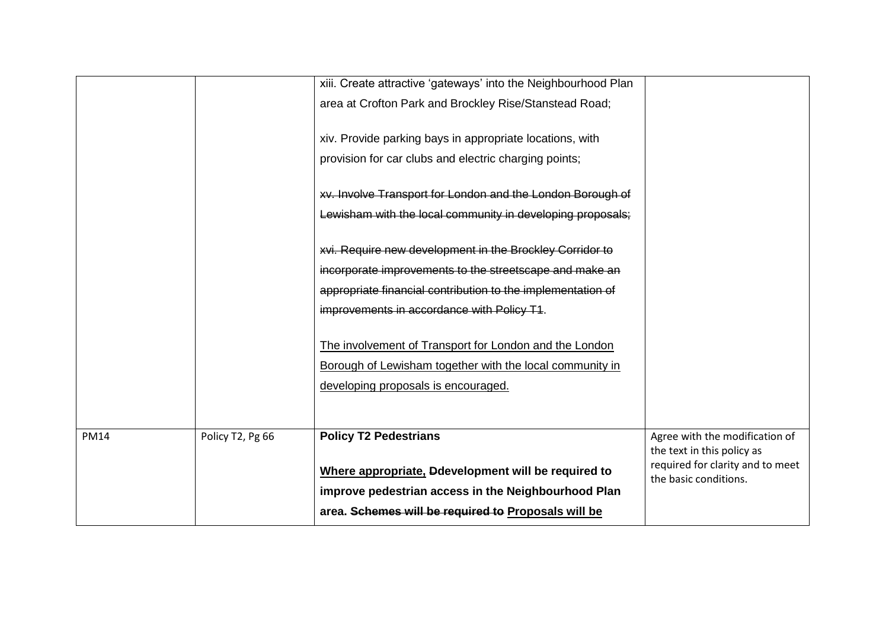|             |                  | xiii. Create attractive 'gateways' into the Neighbourhood Plan |                                                              |
|-------------|------------------|----------------------------------------------------------------|--------------------------------------------------------------|
|             |                  | area at Crofton Park and Brockley Rise/Stanstead Road;         |                                                              |
|             |                  | xiv. Provide parking bays in appropriate locations, with       |                                                              |
|             |                  | provision for car clubs and electric charging points;          |                                                              |
|             |                  | xv. Involve Transport for London and the London Borough of     |                                                              |
|             |                  | Lewisham with the local community in developing proposals;     |                                                              |
|             |                  | xvi. Require new development in the Brockley Corridor to       |                                                              |
|             |                  | incorporate improvements to the streetscape and make an        |                                                              |
|             |                  | appropriate financial contribution to the implementation of    |                                                              |
|             |                  | improvements in accordance with Policy T1.                     |                                                              |
|             |                  | The involvement of Transport for London and the London         |                                                              |
|             |                  | Borough of Lewisham together with the local community in       |                                                              |
|             |                  | developing proposals is encouraged.                            |                                                              |
|             |                  |                                                                |                                                              |
|             |                  | <b>Policy T2 Pedestrians</b>                                   |                                                              |
| <b>PM14</b> | Policy T2, Pg 66 |                                                                | Agree with the modification of<br>the text in this policy as |
|             |                  | Where appropriate. Ddevelopment will be required to            | required for clarity and to meet                             |
|             |                  | improve pedestrian access in the Neighbourhood Plan            | the basic conditions.                                        |
|             |                  | area. Schemes will be required to Proposals will be            |                                                              |
|             |                  |                                                                |                                                              |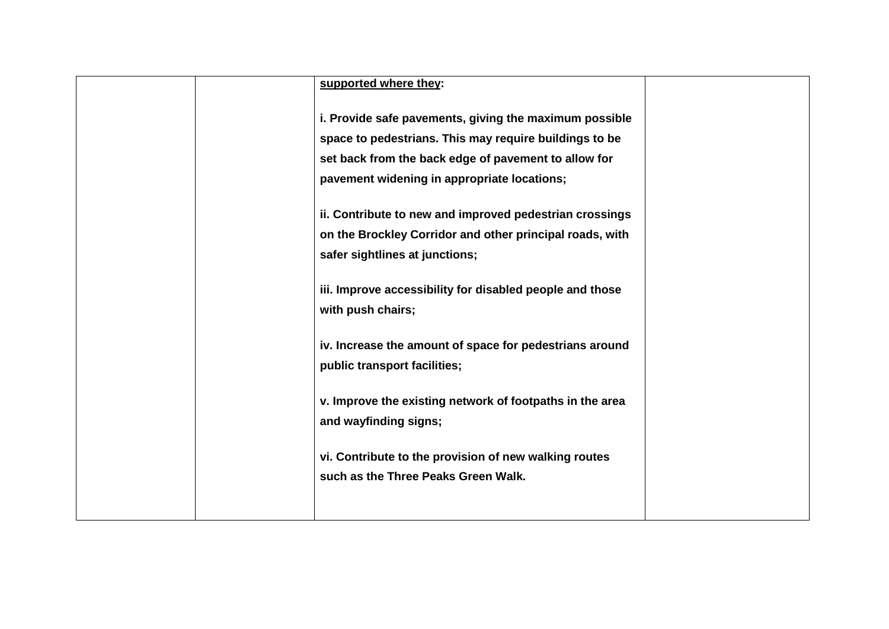| supported where they:                                    |  |
|----------------------------------------------------------|--|
| i. Provide safe pavements, giving the maximum possible   |  |
| space to pedestrians. This may require buildings to be   |  |
| set back from the back edge of pavement to allow for     |  |
| pavement widening in appropriate locations;              |  |
| ii. Contribute to new and improved pedestrian crossings  |  |
| on the Brockley Corridor and other principal roads, with |  |
| safer sightlines at junctions;                           |  |
| iii. Improve accessibility for disabled people and those |  |
| with push chairs;                                        |  |
| iv. Increase the amount of space for pedestrians around  |  |
| public transport facilities;                             |  |
| v. Improve the existing network of footpaths in the area |  |
| and wayfinding signs;                                    |  |
| vi. Contribute to the provision of new walking routes    |  |
| such as the Three Peaks Green Walk.                      |  |
|                                                          |  |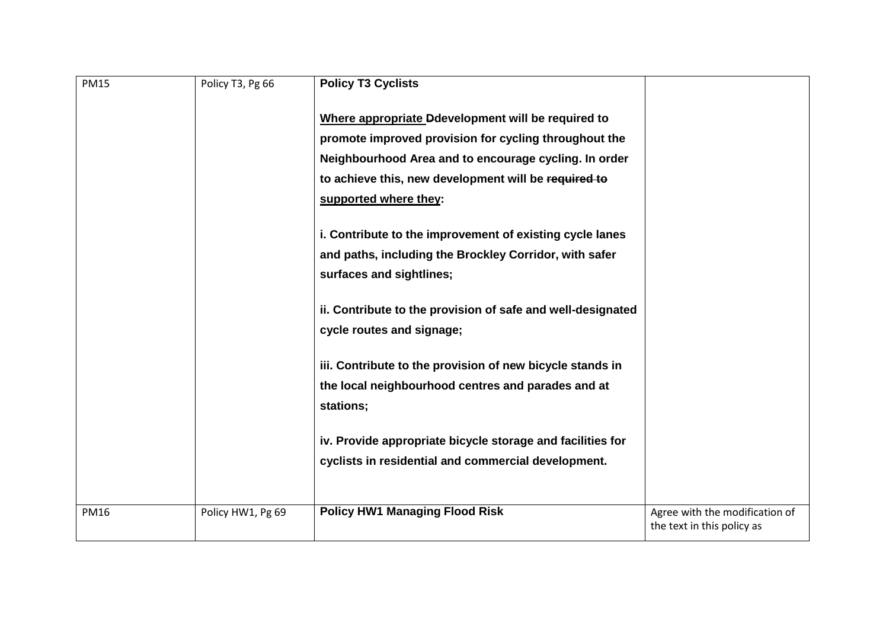| <b>PM15</b> | Policy T3, Pg 66  | <b>Policy T3 Cyclists</b>                                   |                                                              |
|-------------|-------------------|-------------------------------------------------------------|--------------------------------------------------------------|
|             |                   | Where appropriate Ddevelopment will be required to          |                                                              |
|             |                   | promote improved provision for cycling throughout the       |                                                              |
|             |                   | Neighbourhood Area and to encourage cycling. In order       |                                                              |
|             |                   | to achieve this, new development will be required to        |                                                              |
|             |                   | supported where they:                                       |                                                              |
|             |                   | i. Contribute to the improvement of existing cycle lanes    |                                                              |
|             |                   | and paths, including the Brockley Corridor, with safer      |                                                              |
|             |                   | surfaces and sightlines;                                    |                                                              |
|             |                   | ii. Contribute to the provision of safe and well-designated |                                                              |
|             |                   | cycle routes and signage;                                   |                                                              |
|             |                   | iii. Contribute to the provision of new bicycle stands in   |                                                              |
|             |                   | the local neighbourhood centres and parades and at          |                                                              |
|             |                   | stations;                                                   |                                                              |
|             |                   |                                                             |                                                              |
|             |                   | iv. Provide appropriate bicycle storage and facilities for  |                                                              |
|             |                   | cyclists in residential and commercial development.         |                                                              |
|             |                   |                                                             |                                                              |
| <b>PM16</b> | Policy HW1, Pg 69 | <b>Policy HW1 Managing Flood Risk</b>                       | Agree with the modification of<br>the text in this policy as |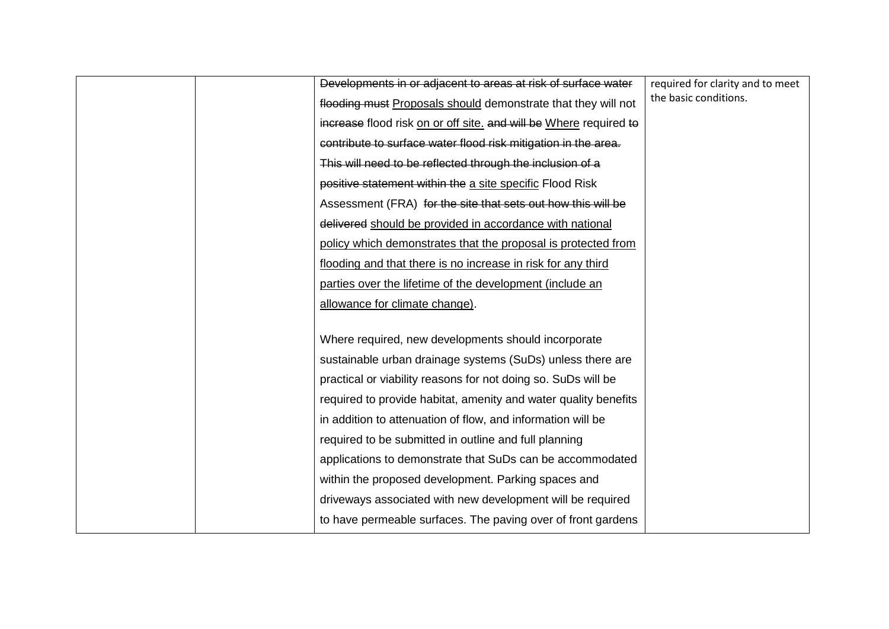|  | Developments in or adjacent to areas at risk of surface water     | required for clarity and to meet<br>the basic conditions. |
|--|-------------------------------------------------------------------|-----------------------------------------------------------|
|  | flooding must Proposals should demonstrate that they will not     |                                                           |
|  | increase flood risk on or off site. and will be Where required to |                                                           |
|  | contribute to surface water flood risk mitigation in the area.    |                                                           |
|  | This will need to be reflected through the inclusion of a         |                                                           |
|  | positive statement within the a site specific Flood Risk          |                                                           |
|  | Assessment (FRA) for the site that sets out how this will be      |                                                           |
|  | delivered should be provided in accordance with national          |                                                           |
|  | policy which demonstrates that the proposal is protected from     |                                                           |
|  | flooding and that there is no increase in risk for any third      |                                                           |
|  | parties over the lifetime of the development (include an          |                                                           |
|  | allowance for climate change).                                    |                                                           |
|  |                                                                   |                                                           |
|  | Where required, new developments should incorporate               |                                                           |
|  | sustainable urban drainage systems (SuDs) unless there are        |                                                           |
|  | practical or viability reasons for not doing so. SuDs will be     |                                                           |
|  | required to provide habitat, amenity and water quality benefits   |                                                           |
|  | in addition to attenuation of flow, and information will be       |                                                           |
|  | required to be submitted in outline and full planning             |                                                           |
|  | applications to demonstrate that SuDs can be accommodated         |                                                           |
|  | within the proposed development. Parking spaces and               |                                                           |
|  | driveways associated with new development will be required        |                                                           |
|  | to have permeable surfaces. The paving over of front gardens      |                                                           |
|  |                                                                   |                                                           |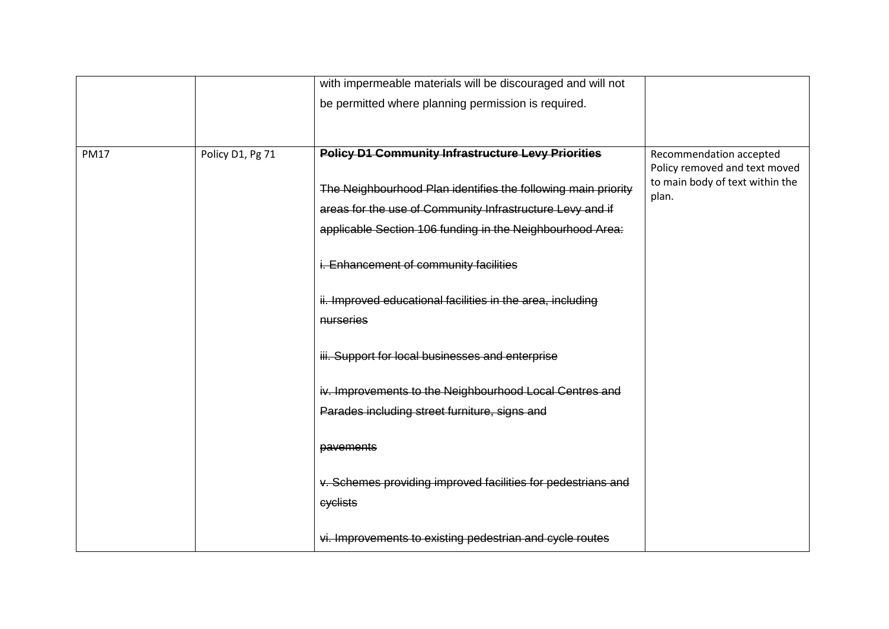|             |                  | with impermeable materials will be discouraged and will not   |                                                          |
|-------------|------------------|---------------------------------------------------------------|----------------------------------------------------------|
|             |                  | be permitted where planning permission is required.           |                                                          |
|             |                  |                                                               |                                                          |
|             |                  |                                                               |                                                          |
| <b>PM17</b> | Policy D1, Pg 71 | <b>Policy D1 Community Infrastructure Levy Priorities</b>     | Recommendation accepted<br>Policy removed and text moved |
|             |                  |                                                               | to main body of text within the                          |
|             |                  | The Neighbourhood Plan identifies the following main priority | plan.                                                    |
|             |                  | areas for the use of Community Infrastructure Levy and if     |                                                          |
|             |                  | applicable Section 106 funding in the Neighbourhood Area:     |                                                          |
|             |                  | i. Enhancement of community facilities                        |                                                          |
|             |                  |                                                               |                                                          |
|             |                  | ii. Improved educational facilities in the area, including    |                                                          |
|             |                  | nurseries                                                     |                                                          |
|             |                  | iii. Support for local businesses and enterprise              |                                                          |
|             |                  |                                                               |                                                          |
|             |                  | iv. Improvements to the Neighbourhood Local Centres and       |                                                          |
|             |                  | Parades including street furniture, signs and                 |                                                          |
|             |                  |                                                               |                                                          |
|             |                  | pavements                                                     |                                                          |
|             |                  | v. Schemes providing improved facilities for pedestrians and  |                                                          |
|             |                  | cyclists                                                      |                                                          |
|             |                  |                                                               |                                                          |
|             |                  | vi. Improvements to existing pedestrian and cycle routes      |                                                          |